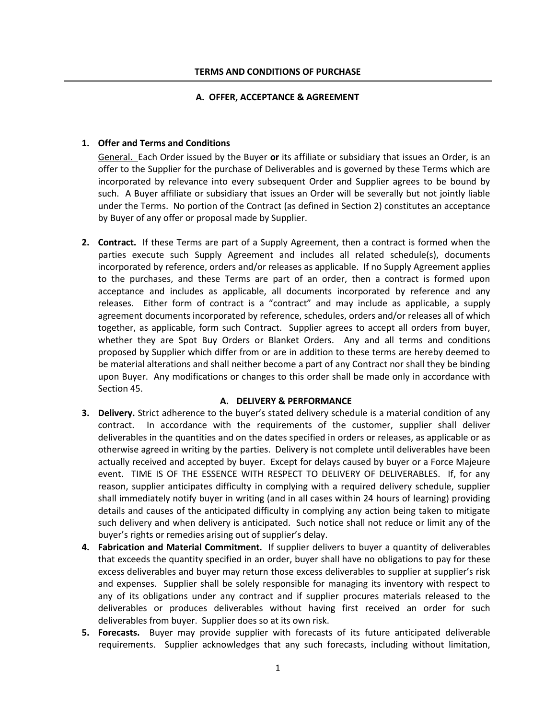### **A. OFFER, ACCEPTANCE & AGREEMENT**

### **1. Offer and Terms and Conditions**

General. Each Order issued by the Buyer **or** its affiliate or subsidiary that issues an Order, is an offer to the Supplier for the purchase of Deliverables and is governed by these Terms which are incorporated by relevance into every subsequent Order and Supplier agrees to be bound by such. A Buyer affiliate or subsidiary that issues an Order will be severally but not jointly liable under the Terms. No portion of the Contract (as defined in Section 2) constitutes an acceptance by Buyer of any offer or proposal made by Supplier.

**2. Contract.** If these Terms are part of a Supply Agreement, then a contract is formed when the parties execute such Supply Agreement and includes all related schedule(s), documents incorporated by reference, orders and/or releases as applicable. If no Supply Agreement applies to the purchases, and these Terms are part of an order, then a contract is formed upon acceptance and includes as applicable, all documents incorporated by reference and any releases. Either form of contract is a "contract" and may include as applicable, a supply agreement documents incorporated by reference, schedules, orders and/or releases all of which together, as applicable, form such Contract. Supplier agrees to accept all orders from buyer, whether they are Spot Buy Orders or Blanket Orders. Any and all terms and conditions proposed by Supplier which differ from or are in addition to these terms are hereby deemed to be material alterations and shall neither become a part of any Contract nor shall they be binding upon Buyer. Any modifications or changes to this order shall be made only in accordance with Section 45.

### **A. DELIVERY & PERFORMANCE**

- **3. Delivery.** Strict adherence to the buyer's stated delivery schedule is a material condition of any contract. In accordance with the requirements of the customer, supplier shall deliver deliverables in the quantities and on the dates specified in orders or releases, as applicable or as otherwise agreed in writing by the parties. Delivery is not complete until deliverables have been actually received and accepted by buyer. Except for delays caused by buyer or a Force Majeure event. TIME IS OF THE ESSENCE WITH RESPECT TO DELIVERY OF DELIVERABLES. If, for any reason, supplier anticipates difficulty in complying with a required delivery schedule, supplier shall immediately notify buyer in writing (and in all cases within 24 hours of learning) providing details and causes of the anticipated difficulty in complying any action being taken to mitigate such delivery and when delivery is anticipated. Such notice shall not reduce or limit any of the buyer's rights or remedies arising out of supplier's delay.
- **4. Fabrication and Material Commitment.** If supplier delivers to buyer a quantity of deliverables that exceeds the quantity specified in an order, buyer shall have no obligations to pay for these excess deliverables and buyer may return those excess deliverables to supplier at supplier's risk and expenses. Supplier shall be solely responsible for managing its inventory with respect to any of its obligations under any contract and if supplier procures materials released to the deliverables or produces deliverables without having first received an order for such deliverables from buyer. Supplier does so at its own risk.
- **5. Forecasts.** Buyer may provide supplier with forecasts of its future anticipated deliverable requirements. Supplier acknowledges that any such forecasts, including without limitation,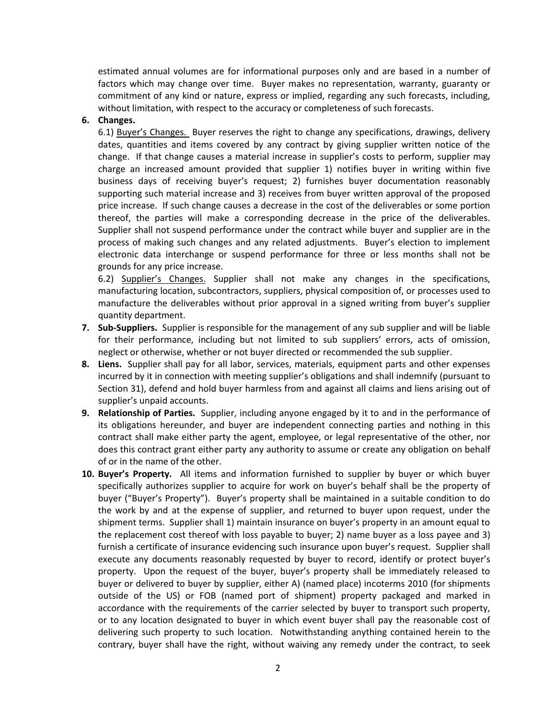estimated annual volumes are for informational purposes only and are based in a number of factors which may change over time. Buyer makes no representation, warranty, guaranty or commitment of any kind or nature, express or implied, regarding any such forecasts, including, without limitation, with respect to the accuracy or completeness of such forecasts.

## **6. Changes.**

6.1) Buyer's Changes. Buyer reserves the right to change any specifications, drawings, delivery dates, quantities and items covered by any contract by giving supplier written notice of the change. If that change causes a material increase in supplier's costs to perform, supplier may charge an increased amount provided that supplier 1) notifies buyer in writing within five business days of receiving buyer's request; 2) furnishes buyer documentation reasonably supporting such material increase and 3) receives from buyer written approval of the proposed price increase. If such change causes a decrease in the cost of the deliverables or some portion thereof, the parties will make a corresponding decrease in the price of the deliverables. Supplier shall not suspend performance under the contract while buyer and supplier are in the process of making such changes and any related adjustments. Buyer's election to implement electronic data interchange or suspend performance for three or less months shall not be grounds for any price increase.

6.2) Supplier's Changes. Supplier shall not make any changes in the specifications, manufacturing location, subcontractors, suppliers, physical composition of, or processes used to manufacture the deliverables without prior approval in a signed writing from buyer's supplier quantity department.

- **7. Sub-Suppliers.** Supplier is responsible for the management of any sub supplier and will be liable for their performance, including but not limited to sub suppliers' errors, acts of omission, neglect or otherwise, whether or not buyer directed or recommended the sub supplier.
- **8. Liens.** Supplier shall pay for all labor, services, materials, equipment parts and other expenses incurred by it in connection with meeting supplier's obligations and shall indemnify (pursuant to Section 31), defend and hold buyer harmless from and against all claims and liens arising out of supplier's unpaid accounts.
- **9. Relationship of Parties.** Supplier, including anyone engaged by it to and in the performance of its obligations hereunder, and buyer are independent connecting parties and nothing in this contract shall make either party the agent, employee, or legal representative of the other, nor does this contract grant either party any authority to assume or create any obligation on behalf of or in the name of the other.
- **10. Buyer's Property.** All items and information furnished to supplier by buyer or which buyer specifically authorizes supplier to acquire for work on buyer's behalf shall be the property of buyer ("Buyer's Property"). Buyer's property shall be maintained in a suitable condition to do the work by and at the expense of supplier, and returned to buyer upon request, under the shipment terms. Supplier shall 1) maintain insurance on buyer's property in an amount equal to the replacement cost thereof with loss payable to buyer; 2) name buyer as a loss payee and 3) furnish a certificate of insurance evidencing such insurance upon buyer's request. Supplier shall execute any documents reasonably requested by buyer to record, identify or protect buyer's property. Upon the request of the buyer, buyer's property shall be immediately released to buyer or delivered to buyer by supplier, either A) (named place) incoterms 2010 (for shipments outside of the US) or FOB (named port of shipment) property packaged and marked in accordance with the requirements of the carrier selected by buyer to transport such property, or to any location designated to buyer in which event buyer shall pay the reasonable cost of delivering such property to such location. Notwithstanding anything contained herein to the contrary, buyer shall have the right, without waiving any remedy under the contract, to seek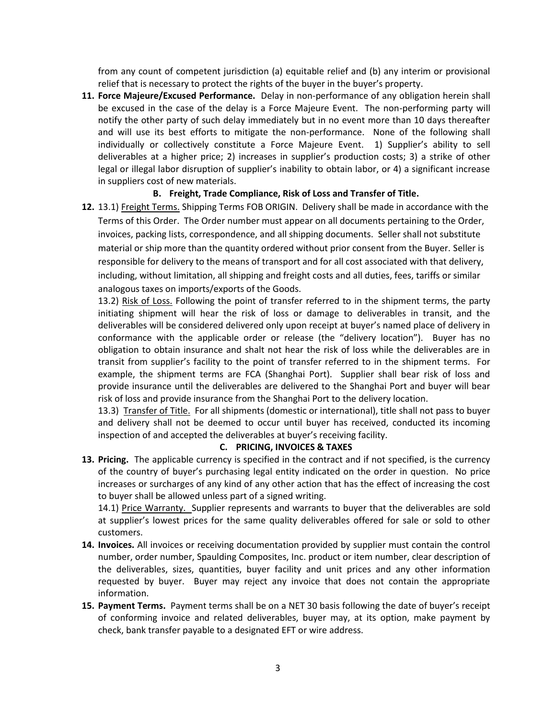from any count of competent jurisdiction (a) equitable relief and (b) any interim or provisional relief that is necessary to protect the rights of the buyer in the buyer's property.

**11. Force Majeure/Excused Performance.** Delay in non-performance of any obligation herein shall be excused in the case of the delay is a Force Majeure Event. The non-performing party will notify the other party of such delay immediately but in no event more than 10 days thereafter and will use its best efforts to mitigate the non-performance. None of the following shall individually or collectively constitute a Force Majeure Event. 1) Supplier's ability to sell deliverables at a higher price; 2) increases in supplier's production costs; 3) a strike of other legal or illegal labor disruption of supplier's inability to obtain labor, or 4) a significant increase in suppliers cost of new materials.

# **B. Freight, Trade Compliance, Risk of Loss and Transfer of Title.**

**12.** 13.1) Freight Terms. Shipping Terms FOB ORIGIN. Delivery shall be made in accordance with the Terms of this Order. The Order number must appear on all documents pertaining to the Order, invoices, packing lists, correspondence, and all shipping documents. Seller shall not substitute material or ship more than the quantity ordered without prior consent from the Buyer. Seller is responsible for delivery to the means of transport and for all cost associated with that delivery, including, without limitation, all shipping and freight costs and all duties, fees, tariffs or similar analogous taxes on imports/exports of the Goods.

13.2) Risk of Loss. Following the point of transfer referred to in the shipment terms, the party initiating shipment will hear the risk of loss or damage to deliverables in transit, and the deliverables will be considered delivered only upon receipt at buyer's named place of delivery in conformance with the applicable order or release (the "delivery location"). Buyer has no obligation to obtain insurance and shalt not hear the risk of loss while the deliverables are in transit from supplier's facility to the point of transfer referred to in the shipment terms. For example, the shipment terms are FCA (Shanghai Port). Supplier shall bear risk of loss and provide insurance until the deliverables are delivered to the Shanghai Port and buyer will bear risk of loss and provide insurance from the Shanghai Port to the delivery location.

13.3) Transfer of Title. For all shipments (domestic or international), title shall not pass to buyer and delivery shall not be deemed to occur until buyer has received, conducted its incoming inspection of and accepted the deliverables at buyer's receiving facility.

## **C. PRICING, INVOICES & TAXES**

**13. Pricing.** The applicable currency is specified in the contract and if not specified, is the currency of the country of buyer's purchasing legal entity indicated on the order in question. No price increases or surcharges of any kind of any other action that has the effect of increasing the cost to buyer shall be allowed unless part of a signed writing.

14.1) Price Warranty. Supplier represents and warrants to buyer that the deliverables are sold at supplier's lowest prices for the same quality deliverables offered for sale or sold to other customers.

- **14. Invoices.** All invoices or receiving documentation provided by supplier must contain the control number, order number, Spaulding Composites, Inc. product or item number, clear description of the deliverables, sizes, quantities, buyer facility and unit prices and any other information requested by buyer. Buyer may reject any invoice that does not contain the appropriate information.
- **15. Payment Terms.** Payment terms shall be on a NET 30 basis following the date of buyer's receipt of conforming invoice and related deliverables, buyer may, at its option, make payment by check, bank transfer payable to a designated EFT or wire address.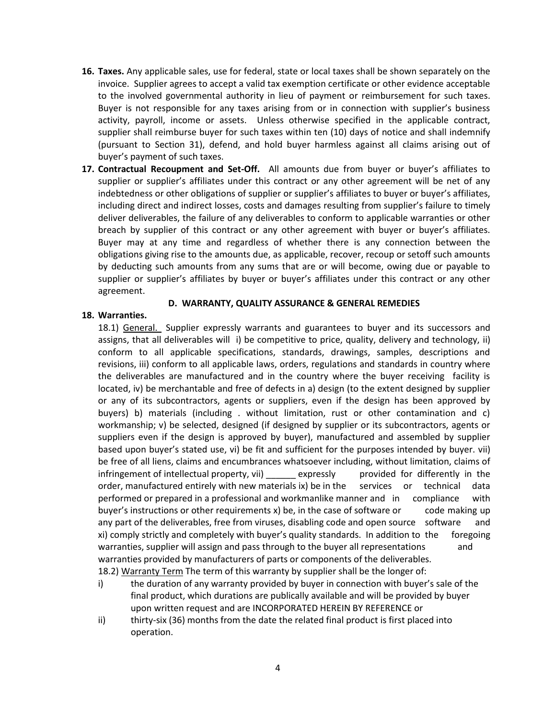- **16. Taxes.** Any applicable sales, use for federal, state or local taxes shall be shown separately on the invoice. Supplier agrees to accept a valid tax exemption certificate or other evidence acceptable to the involved governmental authority in lieu of payment or reimbursement for such taxes. Buyer is not responsible for any taxes arising from or in connection with supplier's business activity, payroll, income or assets. Unless otherwise specified in the applicable contract, supplier shall reimburse buyer for such taxes within ten (10) days of notice and shall indemnify (pursuant to Section 31), defend, and hold buyer harmless against all claims arising out of buyer's payment of such taxes.
- **17. Contractual Recoupment and Set-Off.** All amounts due from buyer or buyer's affiliates to supplier or supplier's affiliates under this contract or any other agreement will be net of any indebtedness or other obligations of supplier or supplier's affiliates to buyer or buyer's affiliates, including direct and indirect losses, costs and damages resulting from supplier's failure to timely deliver deliverables, the failure of any deliverables to conform to applicable warranties or other breach by supplier of this contract or any other agreement with buyer or buyer's affiliates. Buyer may at any time and regardless of whether there is any connection between the obligations giving rise to the amounts due, as applicable, recover, recoup or setoff such amounts by deducting such amounts from any sums that are or will become, owing due or payable to supplier or supplier's affiliates by buyer or buyer's affiliates under this contract or any other agreement.

### **D. WARRANTY, QUALITY ASSURANCE & GENERAL REMEDIES**

### **18. Warranties.**

18.1) General. Supplier expressly warrants and guarantees to buyer and its successors and assigns, that all deliverables will i) be competitive to price, quality, delivery and technology, ii) conform to all applicable specifications, standards, drawings, samples, descriptions and revisions, iii) conform to all applicable laws, orders, regulations and standards in country where the deliverables are manufactured and in the country where the buyer receiving facility is located, iv) be merchantable and free of defects in a) design (to the extent designed by supplier or any of its subcontractors, agents or suppliers, even if the design has been approved by buyers) b) materials (including . without limitation, rust or other contamination and c) workmanship; v) be selected, designed (if designed by supplier or its subcontractors, agents or suppliers even if the design is approved by buyer), manufactured and assembled by supplier based upon buyer's stated use, vi) be fit and sufficient for the purposes intended by buyer. vii) be free of all liens, claims and encumbrances whatsoever including, without limitation, claims of infringement of intellectual property, vii) \_\_\_\_\_\_ expressly provided for differently in the order, manufactured entirely with new materials ix) be in the services or technical data performed or prepared in a professional and workmanlike manner and in compliance with buyer's instructions or other requirements x) be, in the case of software or code making up any part of the deliverables, free from viruses, disabling code and open source software and xi) comply strictly and completely with buyer's quality standards. In addition to the foregoing warranties, supplier will assign and pass through to the buyer all representations and warranties provided by manufacturers of parts or components of the deliverables. 18.2) Warranty Term The term of this warranty by supplier shall be the longer of:

- i) the duration of any warranty provided by buyer in connection with buyer's sale of the final product, which durations are publically available and will be provided by buyer upon written request and are INCORPORATED HEREIN BY REFERENCE or
- ii) thirty-six (36) months from the date the related final product is first placed into operation.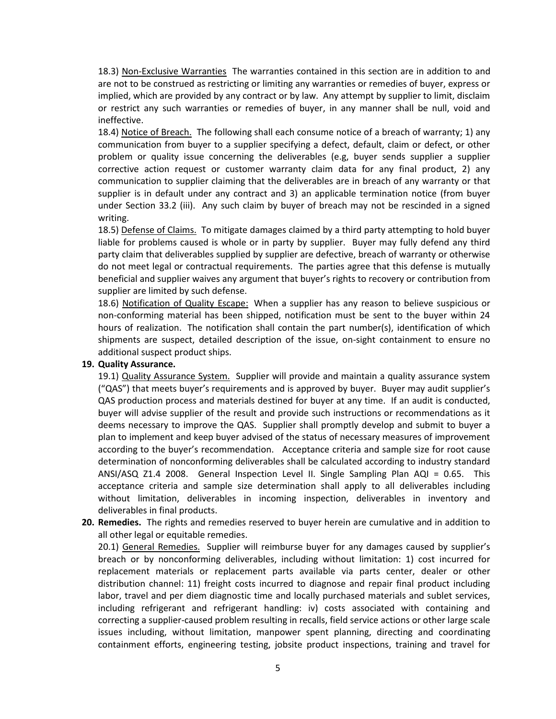18.3) Non-Exclusive Warranties The warranties contained in this section are in addition to and are not to be construed as restricting or limiting any warranties or remedies of buyer, express or implied, which are provided by any contract or by law. Any attempt by supplier to limit, disclaim or restrict any such warranties or remedies of buyer, in any manner shall be null, void and ineffective.

18.4) Notice of Breach. The following shall each consume notice of a breach of warranty; 1) any communication from buyer to a supplier specifying a defect, default, claim or defect, or other problem or quality issue concerning the deliverables (e.g, buyer sends supplier a supplier corrective action request or customer warranty claim data for any final product, 2) any communication to supplier claiming that the deliverables are in breach of any warranty or that supplier is in default under any contract and 3) an applicable termination notice (from buyer under Section 33.2 (iii). Any such claim by buyer of breach may not be rescinded in a signed writing.

18.5) Defense of Claims. To mitigate damages claimed by a third party attempting to hold buyer liable for problems caused is whole or in party by supplier. Buyer may fully defend any third party claim that deliverables supplied by supplier are defective, breach of warranty or otherwise do not meet legal or contractual requirements. The parties agree that this defense is mutually beneficial and supplier waives any argument that buyer's rights to recovery or contribution from supplier are limited by such defense.

18.6) Notification of Quality Escape: When a supplier has any reason to believe suspicious or non-conforming material has been shipped, notification must be sent to the buyer within 24 hours of realization. The notification shall contain the part number(s), identification of which shipments are suspect, detailed description of the issue, on-sight containment to ensure no additional suspect product ships.

## **19. Quality Assurance.**

19.1) Quality Assurance System. Supplier will provide and maintain a quality assurance system ("QAS") that meets buyer's requirements and is approved by buyer. Buyer may audit supplier's QAS production process and materials destined for buyer at any time. If an audit is conducted, buyer will advise supplier of the result and provide such instructions or recommendations as it deems necessary to improve the QAS. Supplier shall promptly develop and submit to buyer a plan to implement and keep buyer advised of the status of necessary measures of improvement according to the buyer's recommendation. Acceptance criteria and sample size for root cause determination of nonconforming deliverables shall be calculated according to industry standard ANSI/ASQ Z1.4 2008. General Inspection Level II. Single Sampling Plan AQI = 0.65. This acceptance criteria and sample size determination shall apply to all deliverables including without limitation, deliverables in incoming inspection, deliverables in inventory and deliverables in final products.

**20. Remedies.** The rights and remedies reserved to buyer herein are cumulative and in addition to all other legal or equitable remedies.

20.1) General Remedies. Supplier will reimburse buyer for any damages caused by supplier's breach or by nonconforming deliverables, including without limitation: 1) cost incurred for replacement materials or replacement parts available via parts center, dealer or other distribution channel: 11) freight costs incurred to diagnose and repair final product including labor, travel and per diem diagnostic time and locally purchased materials and sublet services, including refrigerant and refrigerant handling: iv) costs associated with containing and correcting a supplier-caused problem resulting in recalls, field service actions or other large scale issues including, without limitation, manpower spent planning, directing and coordinating containment efforts, engineering testing, jobsite product inspections, training and travel for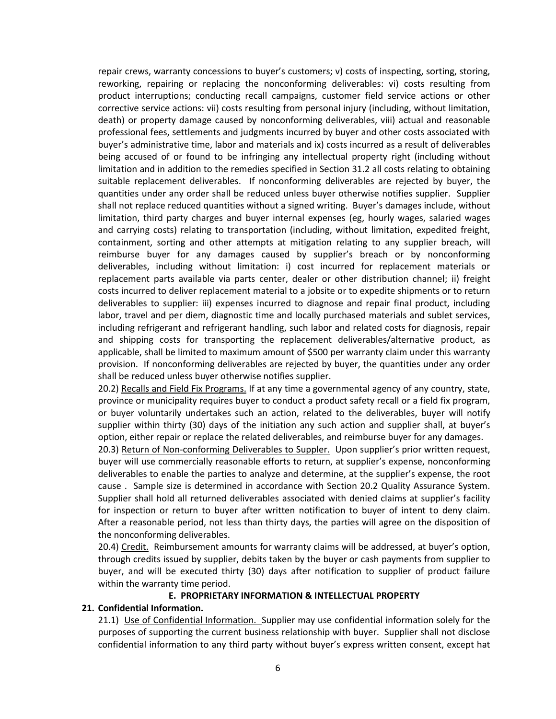repair crews, warranty concessions to buyer's customers; v) costs of inspecting, sorting, storing, reworking, repairing or replacing the nonconforming deliverables: vi) costs resulting from product interruptions; conducting recall campaigns, customer field service actions or other corrective service actions: vii) costs resulting from personal injury (including, without limitation, death) or property damage caused by nonconforming deliverables, viii) actual and reasonable professional fees, settlements and judgments incurred by buyer and other costs associated with buyer's administrative time, labor and materials and ix) costs incurred as a result of deliverables being accused of or found to be infringing any intellectual property right (including without limitation and in addition to the remedies specified in Section 31.2 all costs relating to obtaining suitable replacement deliverables. If nonconforming deliverables are rejected by buyer, the quantities under any order shall be reduced unless buyer otherwise notifies supplier. Supplier shall not replace reduced quantities without a signed writing. Buyer's damages include, without limitation, third party charges and buyer internal expenses (eg, hourly wages, salaried wages and carrying costs) relating to transportation (including, without limitation, expedited freight, containment, sorting and other attempts at mitigation relating to any supplier breach, will reimburse buyer for any damages caused by supplier's breach or by nonconforming deliverables, including without limitation: i) cost incurred for replacement materials or replacement parts available via parts center, dealer or other distribution channel; ii) freight costs incurred to deliver replacement material to a jobsite or to expedite shipments or to return deliverables to supplier: iii) expenses incurred to diagnose and repair final product, including labor, travel and per diem, diagnostic time and locally purchased materials and sublet services, including refrigerant and refrigerant handling, such labor and related costs for diagnosis, repair and shipping costs for transporting the replacement deliverables/alternative product, as applicable, shall be limited to maximum amount of \$500 per warranty claim under this warranty provision. If nonconforming deliverables are rejected by buyer, the quantities under any order shall be reduced unless buyer otherwise notifies supplier.

20.2) Recalls and Field Fix Programs. If at any time a governmental agency of any country, state, province or municipality requires buyer to conduct a product safety recall or a field fix program, or buyer voluntarily undertakes such an action, related to the deliverables, buyer will notify supplier within thirty (30) days of the initiation any such action and supplier shall, at buyer's option, either repair or replace the related deliverables, and reimburse buyer for any damages.

20.3) Return of Non-conforming Deliverables to Suppler. Upon supplier's prior written request, buyer will use commercially reasonable efforts to return, at supplier's expense, nonconforming deliverables to enable the parties to analyze and determine, at the supplier's expense, the root cause . Sample size is determined in accordance with Section 20.2 Quality Assurance System. Supplier shall hold all returned deliverables associated with denied claims at supplier's facility for inspection or return to buyer after written notification to buyer of intent to deny claim. After a reasonable period, not less than thirty days, the parties will agree on the disposition of the nonconforming deliverables.

20.4) Credit. Reimbursement amounts for warranty claims will be addressed, at buyer's option, through credits issued by supplier, debits taken by the buyer or cash payments from supplier to buyer, and will be executed thirty (30) days after notification to supplier of product failure within the warranty time period.

## **E. PROPRIETARY INFORMATION & INTELLECTUAL PROPERTY**

### **21. Confidential Information.**

21.1) Use of Confidential Information. Supplier may use confidential information solely for the purposes of supporting the current business relationship with buyer. Supplier shall not disclose confidential information to any third party without buyer's express written consent, except hat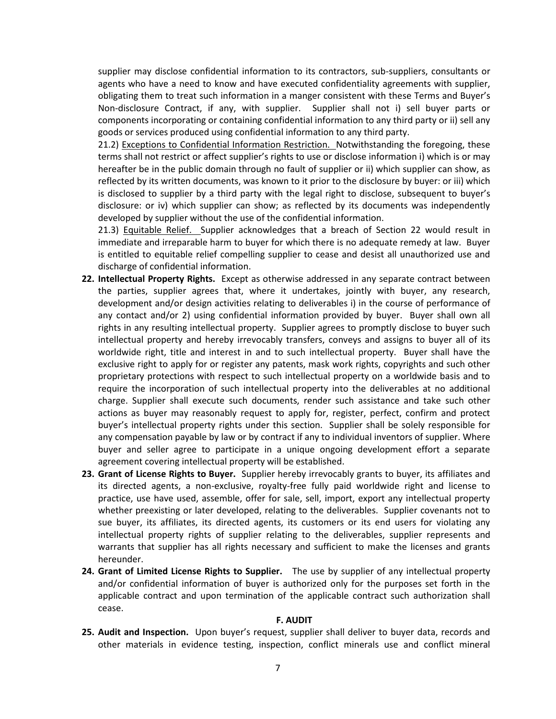supplier may disclose confidential information to its contractors, sub-suppliers, consultants or agents who have a need to know and have executed confidentiality agreements with supplier, obligating them to treat such information in a manger consistent with these Terms and Buyer's Non-disclosure Contract, if any, with supplier. Supplier shall not i) sell buyer parts or components incorporating or containing confidential information to any third party or ii) sell any goods or services produced using confidential information to any third party.

21.2) Exceptions to Confidential Information Restriction. Notwithstanding the foregoing, these terms shall not restrict or affect supplier's rights to use or disclose information i) which is or may hereafter be in the public domain through no fault of supplier or ii) which supplier can show, as reflected by its written documents, was known to it prior to the disclosure by buyer: or iii) which is disclosed to supplier by a third party with the legal right to disclose, subsequent to buyer's disclosure: or iv) which supplier can show; as reflected by its documents was independently developed by supplier without the use of the confidential information.

21.3) Equitable Relief. Supplier acknowledges that a breach of Section 22 would result in immediate and irreparable harm to buyer for which there is no adequate remedy at law. Buyer is entitled to equitable relief compelling supplier to cease and desist all unauthorized use and discharge of confidential information.

- **22. Intellectual Property Rights.** Except as otherwise addressed in any separate contract between the parties, supplier agrees that, where it undertakes, jointly with buyer, any research, development and/or design activities relating to deliverables i) in the course of performance of any contact and/or 2) using confidential information provided by buyer. Buyer shall own all rights in any resulting intellectual property. Supplier agrees to promptly disclose to buyer such intellectual property and hereby irrevocably transfers, conveys and assigns to buyer all of its worldwide right, title and interest in and to such intellectual property. Buyer shall have the exclusive right to apply for or register any patents, mask work rights, copyrights and such other proprietary protections with respect to such intellectual property on a worldwide basis and to require the incorporation of such intellectual property into the deliverables at no additional charge. Supplier shall execute such documents, render such assistance and take such other actions as buyer may reasonably request to apply for, register, perfect, confirm and protect buyer's intellectual property rights under this section. Supplier shall be solely responsible for any compensation payable by law or by contract if any to individual inventors of supplier. Where buyer and seller agree to participate in a unique ongoing development effort a separate agreement covering intellectual property will be established.
- **23. Grant of License Rights to Buyer.** Supplier hereby irrevocably grants to buyer, its affiliates and its directed agents, a non-exclusive, royalty-free fully paid worldwide right and license to practice, use have used, assemble, offer for sale, sell, import, export any intellectual property whether preexisting or later developed, relating to the deliverables. Supplier covenants not to sue buyer, its affiliates, its directed agents, its customers or its end users for violating any intellectual property rights of supplier relating to the deliverables, supplier represents and warrants that supplier has all rights necessary and sufficient to make the licenses and grants hereunder.
- **24. Grant of Limited License Rights to Supplier.** The use by supplier of any intellectual property and/or confidential information of buyer is authorized only for the purposes set forth in the applicable contract and upon termination of the applicable contract such authorization shall cease.

#### **F. AUDIT**

**25. Audit and Inspection.** Upon buyer's request, supplier shall deliver to buyer data, records and other materials in evidence testing, inspection, conflict minerals use and conflict mineral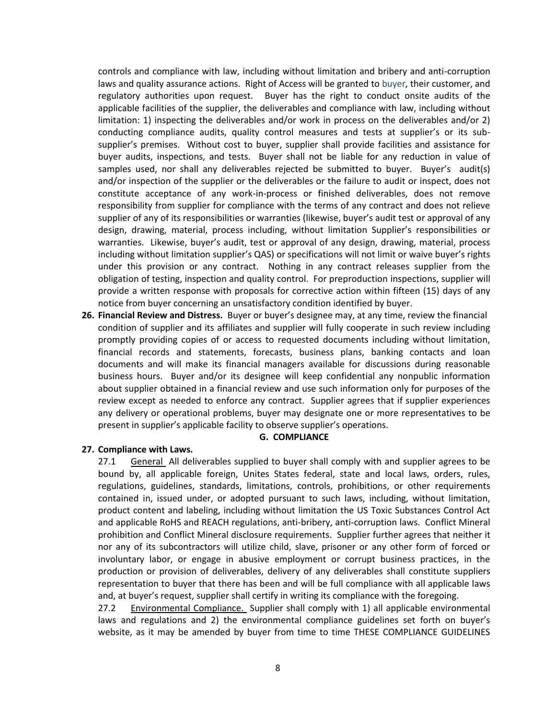controls and compliance with law, including without limitation and bribery and anti-corruption laws and quality assurance actions. Right of Access will be granted to buyer, their customer, and regulatory authorities upon request. Buyer has the right to conduct onsite audits of the applicable facilities of the supplier, the deliverables and compliance with law, including without limitation: 1) inspecting the deliverables and/or work in process on the deliverables and/or 2) conducting compliance audits, quality control measures and tests at supplier's or its subsupplier's premises. Without cost to buyer, supplier shall provide facilities and assistance for buyer audits, inspections, and tests. Buyer shall not be liable for any reduction in value of samples used, nor shall any deliverables rejected be submitted to buyer. Buyer's audit(s) and/or inspection of the supplier or the deliverables or the failure to audit or inspect, does not constitute acceptance of any work-in-process or finished deliverables, does not remove responsibility from supplier for compliance with the terms of any contract and does not relieve supplier of any of its responsibilities or warranties (likewise, buyer's audit test or approval of any design, drawing, material, process including, without limitation Supplier's responsibilities or warranties. Likewise, buyer's audit, test or approval of any design, drawing, material, process including without limitation supplier's QAS) or specifications will not limit or waive buyer's rights under this provision or any contract. Nothing in any contract releases supplier from the obligation of testing, inspection and quality control. For preproduction inspections, supplier will provide a written response with proposals for corrective action within fifteen (15) days of any notice from buyer concerning an unsatisfactory condition identified by buyer.

**26. Financial Review and Distress.** Buyer or buyer's designee may, at any time, review the financial condition of supplier and its affiliates and supplier will fully cooperate in such review including promptly providing copies of or access to requested documents including without limitation, financial records and statements, forecasts, business plans, banking contacts and loan documents and will make its financial managers available for discussions during reasonable business hours. Buyer and/or its designee will keep confidential any nonpublic information about supplier obtained in a financial review and use such information only for purposes of the review except as needed to enforce any contract. Supplier agrees that if supplier experiences any delivery or operational problems, buyer may designate one or more representatives to be present in supplier's applicable facility to observe supplier's operations.

#### **G. COMPLIANCE**

### **27. Compliance with Laws.**

27.1 General All deliverables supplied to buyer shall comply with and supplier agrees to be bound by, all applicable foreign, Unites States federal, state and local laws, orders, rules, regulations, guidelines, standards, limitations, controls, prohibitions, or other requirements contained in, issued under, or adopted pursuant to such laws, including, without limitation, product content and labeling, including without limitation the US Toxic Substances Control Act and applicable RoHS and REACH regulations, anti-bribery, anti-corruption laws. Conflict Mineral prohibition and Conflict Mineral disclosure requirements. Supplier further agrees that neither it nor any of its subcontractors will utilize child, slave, prisoner or any other form of forced or involuntary labor, or engage in abusive employment or corrupt business practices, in the production or provision of deliverables, delivery of any deliverables shall constitute suppliers representation to buyer that there has been and will be full compliance with all applicable laws and, at buyer's request, supplier shall certify in writing its compliance with the foregoing.

27.2 Environmental Compliance. Supplier shall comply with 1) all applicable environmental laws and regulations and 2) the environmental compliance guidelines set forth on buyer's website, as it may be amended by buyer from time to time THESE COMPLIANCE GUIDELINES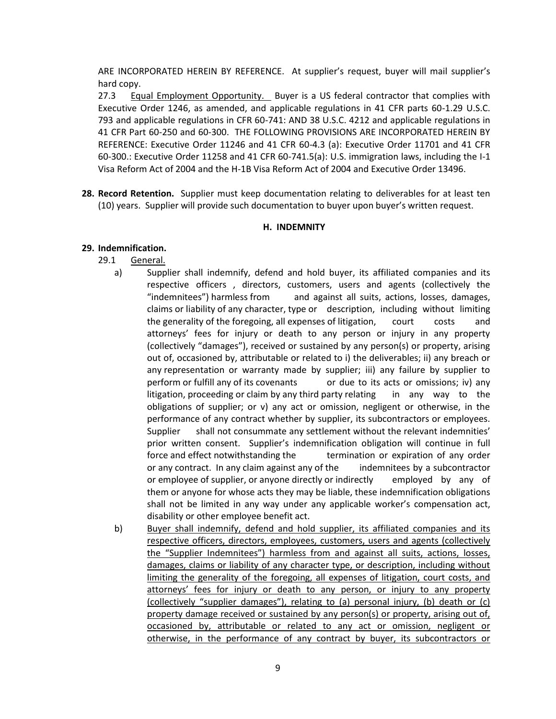ARE INCORPORATED HEREIN BY REFERENCE. At supplier's request, buyer will mail supplier's hard copy.

27.3 Equal Employment Opportunity. Buyer is a US federal contractor that complies with Executive Order 1246, as amended, and applicable regulations in 41 CFR parts 60-1.29 U.S.C. 793 and applicable regulations in CFR 60-741: AND 38 U.S.C. 4212 and applicable regulations in 41 CFR Part 60-250 and 60-300. THE FOLLOWING PROVISIONS ARE INCORPORATED HEREIN BY REFERENCE: Executive Order 11246 and 41 CFR 60-4.3 (a): Executive Order 11701 and 41 CFR 60-300.: Executive Order 11258 and 41 CFR 60-741.5(a): U.S. immigration laws, including the I-1 Visa Reform Act of 2004 and the H-1B Visa Reform Act of 2004 and Executive Order 13496.

**28. Record Retention.** Supplier must keep documentation relating to deliverables for at least ten (10) years. Supplier will provide such documentation to buyer upon buyer's written request.

### **H. INDEMNITY**

## **29. Indemnification.**

- 29.1 General.
	- a) Supplier shall indemnify, defend and hold buyer, its affiliated companies and its respective officers , directors, customers, users and agents (collectively the "indemnitees") harmless from and against all suits, actions, losses, damages, claims or liability of any character, type or description, including without limiting the generality of the foregoing, all expenses of litigation, court costs and attorneys' fees for injury or death to any person or injury in any property (collectively "damages"), received or sustained by any person(s) or property, arising out of, occasioned by, attributable or related to i) the deliverables; ii) any breach or any representation or warranty made by supplier; iii) any failure by supplier to perform or fulfill any of its covenants or due to its acts or omissions; iv) any litigation, proceeding or claim by any third party relating in any way to the obligations of supplier; or v) any act or omission, negligent or otherwise, in the performance of any contract whether by supplier, its subcontractors or employees. Supplier shall not consummate any settlement without the relevant indemnities' prior written consent. Supplier's indemnification obligation will continue in full force and effect notwithstanding the termination or expiration of any order or any contract. In any claim against any of the indemnitees by a subcontractor or employee of supplier, or anyone directly or indirectly employed by any of them or anyone for whose acts they may be liable, these indemnification obligations shall not be limited in any way under any applicable worker's compensation act, disability or other employee benefit act.
	- b) Buyer shall indemnify, defend and hold supplier, its affiliated companies and its respective officers, directors, employees, customers, users and agents (collectively the "Supplier Indemnitees") harmless from and against all suits, actions, losses, damages, claims or liability of any character type, or description, including without limiting the generality of the foregoing, all expenses of litigation, court costs, and attorneys' fees for injury or death to any person, or injury to any property (collectively "supplier damages"), relating to (a) personal injury, (b) death or (c) property damage received or sustained by any person(s) or property, arising out of, occasioned by, attributable or related to any act or omission, negligent or otherwise, in the performance of any contract by buyer, its subcontractors or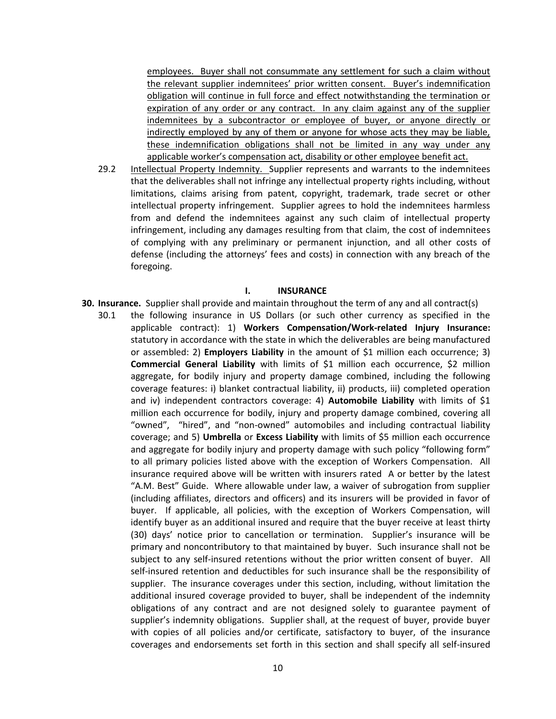employees. Buyer shall not consummate any settlement for such a claim without the relevant supplier indemnitees' prior written consent. Buyer's indemnification obligation will continue in full force and effect notwithstanding the termination or expiration of any order or any contract. In any claim against any of the supplier indemnitees by a subcontractor or employee of buyer, or anyone directly or indirectly employed by any of them or anyone for whose acts they may be liable, these indemnification obligations shall not be limited in any way under any applicable worker's compensation act, disability or other employee benefit act.

29.2 Intellectual Property Indemnity. Supplier represents and warrants to the indemnitees that the deliverables shall not infringe any intellectual property rights including, without limitations, claims arising from patent, copyright, trademark, trade secret or other intellectual property infringement. Supplier agrees to hold the indemnitees harmless from and defend the indemnitees against any such claim of intellectual property infringement, including any damages resulting from that claim, the cost of indemnitees of complying with any preliminary or permanent injunction, and all other costs of defense (including the attorneys' fees and costs) in connection with any breach of the foregoing.

#### **I. INSURANCE**

- **30. Insurance.** Supplier shall provide and maintain throughout the term of any and all contract(s)
	- 30.1 the following insurance in US Dollars (or such other currency as specified in the applicable contract): 1) **Workers Compensation/Work-related Injury Insurance:**  statutory in accordance with the state in which the deliverables are being manufactured or assembled: 2) **Employers Liability** in the amount of \$1 million each occurrence; 3) **Commercial General Liability** with limits of \$1 million each occurrence, \$2 million aggregate, for bodily injury and property damage combined, including the following coverage features: i) blanket contractual liability, ii) products, iii) completed operation and iv) independent contractors coverage: 4) **Automobile Liability** with limits of \$1 million each occurrence for bodily, injury and property damage combined, covering all "owned", "hired", and "non-owned" automobiles and including contractual liability coverage; and 5) **Umbrella** or **Excess Liability** with limits of \$5 million each occurrence and aggregate for bodily injury and property damage with such policy "following form" to all primary policies listed above with the exception of Workers Compensation. All insurance required above will be written with insurers rated A or better by the latest "A.M. Best" Guide. Where allowable under law, a waiver of subrogation from supplier (including affiliates, directors and officers) and its insurers will be provided in favor of buyer. If applicable, all policies, with the exception of Workers Compensation, will identify buyer as an additional insured and require that the buyer receive at least thirty (30) days' notice prior to cancellation or termination. Supplier's insurance will be primary and noncontributory to that maintained by buyer. Such insurance shall not be subject to any self-insured retentions without the prior written consent of buyer. All self-insured retention and deductibles for such insurance shall be the responsibility of supplier. The insurance coverages under this section, including, without limitation the additional insured coverage provided to buyer, shall be independent of the indemnity obligations of any contract and are not designed solely to guarantee payment of supplier's indemnity obligations. Supplier shall, at the request of buyer, provide buyer with copies of all policies and/or certificate, satisfactory to buyer, of the insurance coverages and endorsements set forth in this section and shall specify all self-insured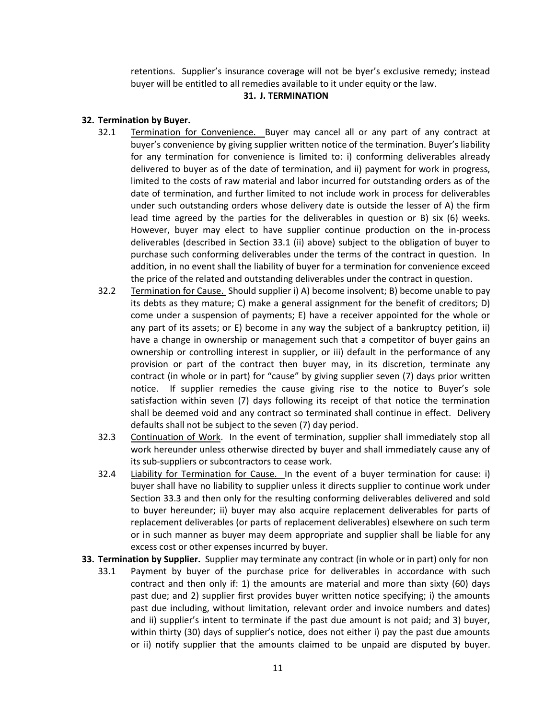retentions. Supplier's insurance coverage will not be byer's exclusive remedy; instead buyer will be entitled to all remedies available to it under equity or the law.

### **31. J. TERMINATION**

# **32. Termination by Buyer.**

- 32.1 Termination for Convenience. Buyer may cancel all or any part of any contract at buyer's convenience by giving supplier written notice of the termination. Buyer's liability for any termination for convenience is limited to: i) conforming deliverables already delivered to buyer as of the date of termination, and ii) payment for work in progress, limited to the costs of raw material and labor incurred for outstanding orders as of the date of termination, and further limited to not include work in process for deliverables under such outstanding orders whose delivery date is outside the lesser of A) the firm lead time agreed by the parties for the deliverables in question or B) six (6) weeks. However, buyer may elect to have supplier continue production on the in-process deliverables (described in Section 33.1 (ii) above) subject to the obligation of buyer to purchase such conforming deliverables under the terms of the contract in question. In addition, in no event shall the liability of buyer for a termination for convenience exceed the price of the related and outstanding deliverables under the contract in question.
- 32.2 Termination for Cause. Should supplier i) A) become insolvent; B) become unable to pay its debts as they mature; C) make a general assignment for the benefit of creditors; D) come under a suspension of payments; E) have a receiver appointed for the whole or any part of its assets; or E) become in any way the subject of a bankruptcy petition, ii) have a change in ownership or management such that a competitor of buyer gains an ownership or controlling interest in supplier, or iii) default in the performance of any provision or part of the contract then buyer may, in its discretion, terminate any contract (in whole or in part) for "cause" by giving supplier seven (7) days prior written notice. If supplier remedies the cause giving rise to the notice to Buyer's sole satisfaction within seven (7) days following its receipt of that notice the termination shall be deemed void and any contract so terminated shall continue in effect. Delivery defaults shall not be subject to the seven (7) day period.
- 32.3 Continuation of Work. In the event of termination, supplier shall immediately stop all work hereunder unless otherwise directed by buyer and shall immediately cause any of its sub-suppliers or subcontractors to cease work.
- 32.4 Liability for Termination for Cause. In the event of a buyer termination for cause: i) buyer shall have no liability to supplier unless it directs supplier to continue work under Section 33.3 and then only for the resulting conforming deliverables delivered and sold to buyer hereunder; ii) buyer may also acquire replacement deliverables for parts of replacement deliverables (or parts of replacement deliverables) elsewhere on such term or in such manner as buyer may deem appropriate and supplier shall be liable for any excess cost or other expenses incurred by buyer.
- **33. Termination by Supplier.** Supplier may terminate any contract (in whole or in part) only for non
	- 33.1 Payment by buyer of the purchase price for deliverables in accordance with such contract and then only if: 1) the amounts are material and more than sixty (60) days past due; and 2) supplier first provides buyer written notice specifying; i) the amounts past due including, without limitation, relevant order and invoice numbers and dates) and ii) supplier's intent to terminate if the past due amount is not paid; and 3) buyer, within thirty (30) days of supplier's notice, does not either i) pay the past due amounts or ii) notify supplier that the amounts claimed to be unpaid are disputed by buyer.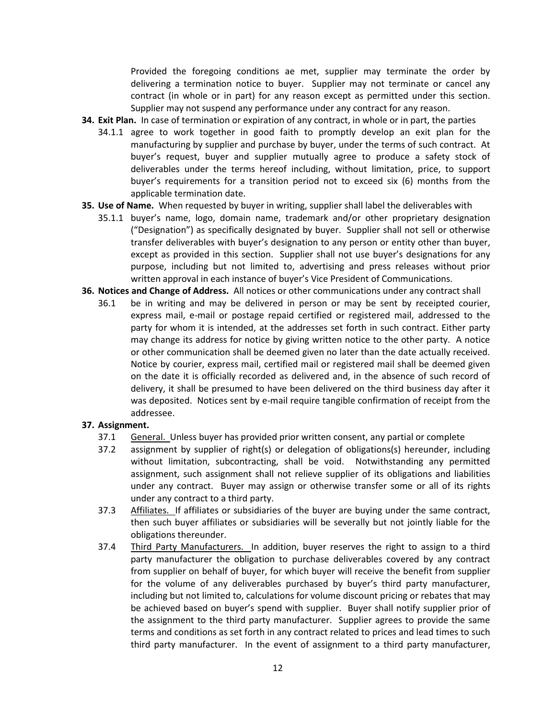Provided the foregoing conditions ae met, supplier may terminate the order by delivering a termination notice to buyer. Supplier may not terminate or cancel any contract (in whole or in part) for any reason except as permitted under this section. Supplier may not suspend any performance under any contract for any reason.

- **34. Exit Plan.** In case of termination or expiration of any contract, in whole or in part, the parties
	- 34.1.1 agree to work together in good faith to promptly develop an exit plan for the manufacturing by supplier and purchase by buyer, under the terms of such contract. At buyer's request, buyer and supplier mutually agree to produce a safety stock of deliverables under the terms hereof including, without limitation, price, to support buyer's requirements for a transition period not to exceed six (6) months from the applicable termination date.
- **35. Use of Name.** When requested by buyer in writing, supplier shall label the deliverables with
	- 35.1.1 buyer's name, logo, domain name, trademark and/or other proprietary designation ("Designation") as specifically designated by buyer. Supplier shall not sell or otherwise transfer deliverables with buyer's designation to any person or entity other than buyer, except as provided in this section. Supplier shall not use buyer's designations for any purpose, including but not limited to, advertising and press releases without prior written approval in each instance of buyer's Vice President of Communications.
- **36. Notices and Change of Address.** All notices or other communications under any contract shall
	- 36.1 be in writing and may be delivered in person or may be sent by receipted courier, express mail, e-mail or postage repaid certified or registered mail, addressed to the party for whom it is intended, at the addresses set forth in such contract. Either party may change its address for notice by giving written notice to the other party. A notice or other communication shall be deemed given no later than the date actually received. Notice by courier, express mail, certified mail or registered mail shall be deemed given on the date it is officially recorded as delivered and, in the absence of such record of delivery, it shall be presumed to have been delivered on the third business day after it was deposited. Notices sent by e-mail require tangible confirmation of receipt from the addressee.

## **37. Assignment.**

- 37.1 General. Unless buyer has provided prior written consent, any partial or complete
- 37.2 assignment by supplier of right(s) or delegation of obligations(s) hereunder, including without limitation, subcontracting, shall be void. Notwithstanding any permitted assignment, such assignment shall not relieve supplier of its obligations and liabilities under any contract. Buyer may assign or otherwise transfer some or all of its rights under any contract to a third party.
- 37.3 Affiliates. If affiliates or subsidiaries of the buyer are buying under the same contract, then such buyer affiliates or subsidiaries will be severally but not jointly liable for the obligations thereunder.
- 37.4 Third Party Manufacturers. In addition, buyer reserves the right to assign to a third party manufacturer the obligation to purchase deliverables covered by any contract from supplier on behalf of buyer, for which buyer will receive the benefit from supplier for the volume of any deliverables purchased by buyer's third party manufacturer, including but not limited to, calculations for volume discount pricing or rebates that may be achieved based on buyer's spend with supplier. Buyer shall notify supplier prior of the assignment to the third party manufacturer. Supplier agrees to provide the same terms and conditions as set forth in any contract related to prices and lead times to such third party manufacturer. In the event of assignment to a third party manufacturer,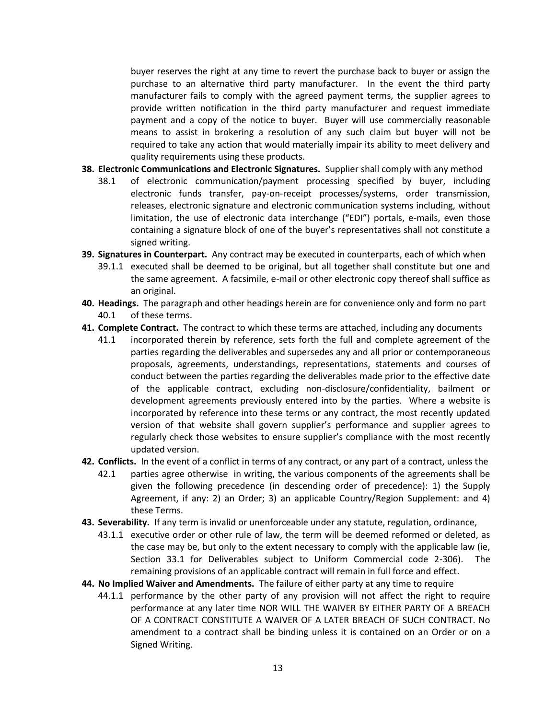buyer reserves the right at any time to revert the purchase back to buyer or assign the purchase to an alternative third party manufacturer. In the event the third party manufacturer fails to comply with the agreed payment terms, the supplier agrees to provide written notification in the third party manufacturer and request immediate payment and a copy of the notice to buyer. Buyer will use commercially reasonable means to assist in brokering a resolution of any such claim but buyer will not be required to take any action that would materially impair its ability to meet delivery and quality requirements using these products.

- **38. Electronic Communications and Electronic Signatures.** Supplier shall comply with any method
	- 38.1 of electronic communication/payment processing specified by buyer, including electronic funds transfer, pay-on-receipt processes/systems, order transmission, releases, electronic signature and electronic communication systems including, without limitation, the use of electronic data interchange ("EDI") portals, e-mails, even those containing a signature block of one of the buyer's representatives shall not constitute a signed writing.
- **39. Signatures in Counterpart.** Any contract may be executed in counterparts, each of which when
	- 39.1.1 executed shall be deemed to be original, but all together shall constitute but one and the same agreement. A facsimile, e-mail or other electronic copy thereof shall suffice as an original.
- **40. Headings.** The paragraph and other headings herein are for convenience only and form no part 40.1 of these terms.
- **41. Complete Contract.** The contract to which these terms are attached, including any documents
	- 41.1 incorporated therein by reference, sets forth the full and complete agreement of the parties regarding the deliverables and supersedes any and all prior or contemporaneous proposals, agreements, understandings, representations, statements and courses of conduct between the parties regarding the deliverables made prior to the effective date of the applicable contract, excluding non-disclosure/confidentiality, bailment or development agreements previously entered into by the parties. Where a website is incorporated by reference into these terms or any contract, the most recently updated version of that website shall govern supplier's performance and supplier agrees to regularly check those websites to ensure supplier's compliance with the most recently updated version.
- **42. Conflicts.** In the event of a conflict in terms of any contract, or any part of a contract, unless the
	- 42.1 parties agree otherwise in writing, the various components of the agreements shall be given the following precedence (in descending order of precedence): 1) the Supply Agreement, if any: 2) an Order; 3) an applicable Country/Region Supplement: and 4) these Terms.
- **43. Severability.** If any term is invalid or unenforceable under any statute, regulation, ordinance,
	- 43.1.1 executive order or other rule of law, the term will be deemed reformed or deleted, as the case may be, but only to the extent necessary to comply with the applicable law (ie, Section 33.1 for Deliverables subject to Uniform Commercial code 2-306). The remaining provisions of an applicable contract will remain in full force and effect.
- **44. No Implied Waiver and Amendments.** The failure of either party at any time to require
	- 44.1.1 performance by the other party of any provision will not affect the right to require performance at any later time NOR WILL THE WAIVER BY EITHER PARTY OF A BREACH OF A CONTRACT CONSTITUTE A WAIVER OF A LATER BREACH OF SUCH CONTRACT. No amendment to a contract shall be binding unless it is contained on an Order or on a Signed Writing.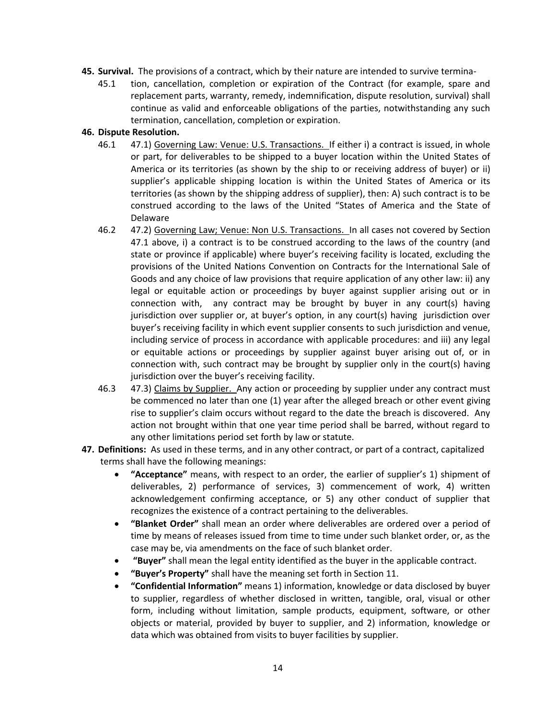- **45. Survival.** The provisions of a contract, which by their nature are intended to survive termina-
	- 45.1 tion, cancellation, completion or expiration of the Contract (for example, spare and replacement parts, warranty, remedy, indemnification, dispute resolution, survival) shall continue as valid and enforceable obligations of the parties, notwithstanding any such termination, cancellation, completion or expiration.

### **46. Dispute Resolution.**

- 46.1 47.1) Governing Law: Venue: U.S. Transactions. If either i) a contract is issued, in whole or part, for deliverables to be shipped to a buyer location within the United States of America or its territories (as shown by the ship to or receiving address of buyer) or ii) supplier's applicable shipping location is within the United States of America or its territories (as shown by the shipping address of supplier), then: A) such contract is to be construed according to the laws of the United "States of America and the State of Delaware
- 46.2 47.2) Governing Law; Venue: Non U.S. Transactions. In all cases not covered by Section 47.1 above, i) a contract is to be construed according to the laws of the country (and state or province if applicable) where buyer's receiving facility is located, excluding the provisions of the United Nations Convention on Contracts for the International Sale of Goods and any choice of law provisions that require application of any other law: ii) any legal or equitable action or proceedings by buyer against supplier arising out or in connection with, any contract may be brought by buyer in any court(s) having jurisdiction over supplier or, at buyer's option, in any court(s) having jurisdiction over buyer's receiving facility in which event supplier consents to such jurisdiction and venue, including service of process in accordance with applicable procedures: and iii) any legal or equitable actions or proceedings by supplier against buyer arising out of, or in connection with, such contract may be brought by supplier only in the court(s) having jurisdiction over the buyer's receiving facility.
- 46.3 47.3) Claims by Supplier. Any action or proceeding by supplier under any contract must be commenced no later than one (1) year after the alleged breach or other event giving rise to supplier's claim occurs without regard to the date the breach is discovered. Any action not brought within that one year time period shall be barred, without regard to any other limitations period set forth by law or statute.
- **47. Definitions:** As used in these terms, and in any other contract, or part of a contract, capitalized terms shall have the following meanings:
	- **"Acceptance"** means, with respect to an order, the earlier of supplier's 1) shipment of deliverables, 2) performance of services, 3) commencement of work, 4) written acknowledgement confirming acceptance, or 5) any other conduct of supplier that recognizes the existence of a contract pertaining to the deliverables.
	- **"Blanket Order"** shall mean an order where deliverables are ordered over a period of time by means of releases issued from time to time under such blanket order, or, as the case may be, via amendments on the face of such blanket order.
	- **"Buyer"** shall mean the legal entity identified as the buyer in the applicable contract.
	- **"Buyer's Property"** shall have the meaning set forth in Section 11.
	- **"Confidential Information"** means 1) information, knowledge or data disclosed by buyer to supplier, regardless of whether disclosed in written, tangible, oral, visual or other form, including without limitation, sample products, equipment, software, or other objects or material, provided by buyer to supplier, and 2) information, knowledge or data which was obtained from visits to buyer facilities by supplier.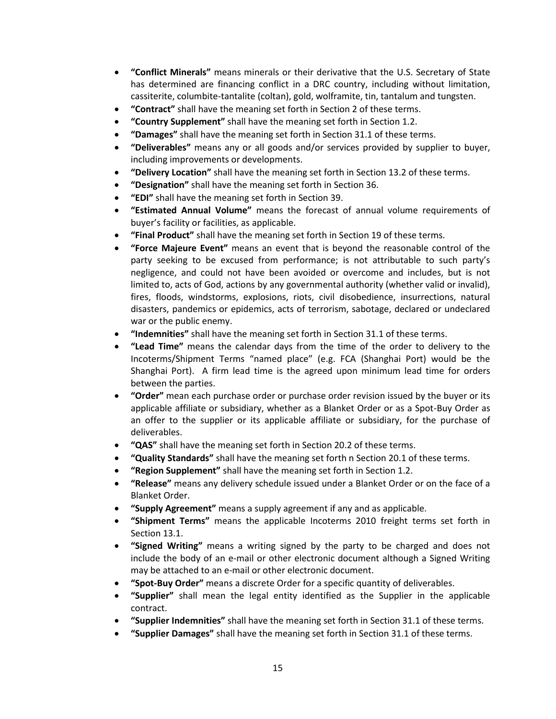- **"Conflict Minerals"** means minerals or their derivative that the U.S. Secretary of State has determined are financing conflict in a DRC country, including without limitation, cassiterite, columbite-tantalite (coltan), gold, wolframite, tin, tantalum and tungsten.
- **"Contract"** shall have the meaning set forth in Section 2 of these terms.
- **"Country Supplement"** shall have the meaning set forth in Section 1.2.
- **"Damages"** shall have the meaning set forth in Section 31.1 of these terms.
- **"Deliverables"** means any or all goods and/or services provided by supplier to buyer, including improvements or developments.
- **"Delivery Location"** shall have the meaning set forth in Section 13.2 of these terms.
- **"Designation"** shall have the meaning set forth in Section 36.
- **"EDI"** shall have the meaning set forth in Section 39.
- **"Estimated Annual Volume"** means the forecast of annual volume requirements of buyer's facility or facilities, as applicable.
- **"Final Product"** shall have the meaning set forth in Section 19 of these terms.
- **"Force Majeure Event"** means an event that is beyond the reasonable control of the party seeking to be excused from performance; is not attributable to such party's negligence, and could not have been avoided or overcome and includes, but is not limited to, acts of God, actions by any governmental authority (whether valid or invalid), fires, floods, windstorms, explosions, riots, civil disobedience, insurrections, natural disasters, pandemics or epidemics, acts of terrorism, sabotage, declared or undeclared war or the public enemy.
- **"Indemnities"** shall have the meaning set forth in Section 31.1 of these terms.
- **"Lead Time"** means the calendar days from the time of the order to delivery to the Incoterms/Shipment Terms "named place" (e.g. FCA (Shanghai Port) would be the Shanghai Port). A firm lead time is the agreed upon minimum lead time for orders between the parties.
- **"Order"** mean each purchase order or purchase order revision issued by the buyer or its applicable affiliate or subsidiary, whether as a Blanket Order or as a Spot-Buy Order as an offer to the supplier or its applicable affiliate or subsidiary, for the purchase of deliverables.
- **"QAS"** shall have the meaning set forth in Section 20.2 of these terms.
- **"Quality Standards"** shall have the meaning set forth n Section 20.1 of these terms.
- **"Region Supplement"** shall have the meaning set forth in Section 1.2.
- **"Release"** means any delivery schedule issued under a Blanket Order or on the face of a Blanket Order.
- **"Supply Agreement"** means a supply agreement if any and as applicable.
- **"Shipment Terms"** means the applicable Incoterms 2010 freight terms set forth in Section 13.1.
- **"Signed Writing"** means a writing signed by the party to be charged and does not include the body of an e-mail or other electronic document although a Signed Writing may be attached to an e-mail or other electronic document.
- **"Spot-Buy Order"** means a discrete Order for a specific quantity of deliverables.
- **"Supplier"** shall mean the legal entity identified as the Supplier in the applicable contract.
- **"Supplier Indemnities"** shall have the meaning set forth in Section 31.1 of these terms.
- **"Supplier Damages"** shall have the meaning set forth in Section 31.1 of these terms.